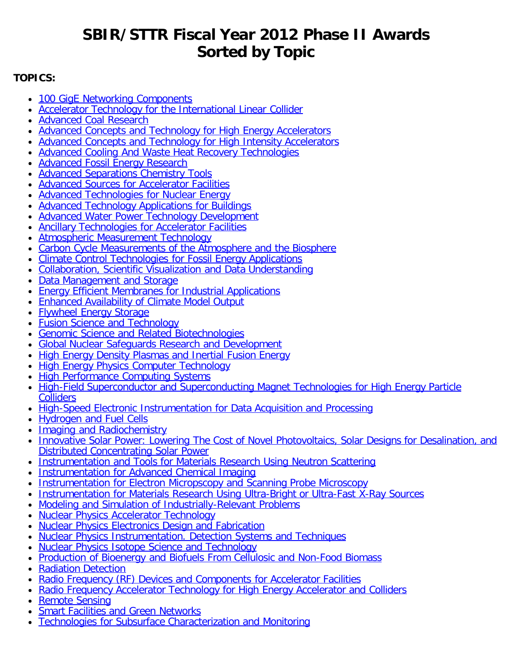# **SBIR/STTR Fiscal Year 2012 Phase II Awards Sorted by Topic**

# <span id="page-0-0"></span>**TOPICS:**

- [100 GigE Networking Components](#page-1-0)
- [Accelerator Technology for the International Linear Collider](#page-1-1)
- [Advanced Coal Research](#page-2-0)
- [Advanced Concepts and Technology for High Energy Accelerators](#page-2-1)
- [Advanced Concepts and Technology for High Intensity Accelerators](#page-3-0)
- [Advanced Cooling And Waste Heat Recovery Technologies](#page-4-0)
- **[Advanced Fossil Energy Research](#page-5-0)**
- [Advanced Separations Chemistry Tools](#page-5-1)
- [Advanced Sources for Accelerator Facilities](#page-6-0)
- [Advanced Technologies for Nuclear Energy](#page-7-0)
- [Advanced Technology Applications for Buildings](#page-8-0)
- [Advanced Water Power Technology Development](#page-8-1)
- [Ancillary Technologies for Accelerator Facilities](#page-9-0)
- [Atmospheric Measurement Technology](#page-10-0)
- [Carbon Cycle Measurements of the Atmosphere and the Biosphere](#page-11-0)
- [Climate Control Technologies for Fossil Energy Applications](#page-12-0)
- [Collaboration, Scientific Visualization and Data Understanding](#page-13-0)
- [Data Management and Storage](#page-14-0)
- [Energy Efficient Membranes for Industrial Applications](#page-14-1)
- [Enhanced Availability of Climate Model Output](#page-15-0)  $\bullet$
- [Flywheel Energy Storage](#page-16-0)
- [Fusion Science and Technology](#page-17-0)
- [Genomic Science and Related Biotechnologies](#page-18-0)  $\bullet$
- [Global Nuclear Safeguards Research and Development](#page-18-1)
- **[High Energy Density Plasmas and Inertial Fusion Energy](#page-18-2)**
- [High Energy Physics Computer Technology](#page-19-0)
- [High Performance Computing Systems](#page-19-1)
- [High-Field Superconductor and Superconducting Magnet Technologies for High Energy Particle](#page-20-0) **[Colliders](#page-20-0)**
- [High-Speed Electronic Instrumentation for Data Acquisition and Processing](#page-20-1)
- **[Hydrogen and Fuel Cells](#page-21-0)**
- [Imaging and Radiochemistry](#page-22-0)
- [Innovative Solar Power: Lowering The Cost of Novel Photovoltaics, Solar Designs for Desalination, and](#page-22-1) [Distributed Concentrating Solar Power](#page-22-1)
- [Instrumentation and Tools for Materials Research Using Neutron Scattering](#page-23-0)
- [Instrumentation for Advanced Chemical Imaging](#page-24-0)
- [Instrumentation for Electron Micropscopy and Scanning Probe Microscopy](#page-24-1)
- [Instrumentation for Materials Research Using Ultra-Bright or Ultra-Fast X-Ray Sources](#page-25-0)
- [Modeling and Simulation of Industrially-Relevant Problems](#page-25-1)
- [Nuclear Physics Accelerator Technology](#page-26-0)
- [Nuclear Physics Electronics Design and Fabrication](#page-27-0)
- [Nuclear Physics Instrumentation. Detection Systems and Techniques](#page-28-0)
- [Nuclear Physics Isotope Science and Technology](#page-29-0)
- [Production of Bioenergy and Biofuels From Cellulosic and Non-Food Biomass](#page-29-1)
- [Radiation Detection](#page-30-0)
- [Radio Frequency \(RF\) Devices and Components for Accelerator Facilities](#page-30-1)
- [Radio Frequency Accelerator Technology for High Energy Accelerator and Colliders](#page-31-0)  $\bullet$
- [Remote Sensing](#page-32-0)
- [Smart Facilities and Green Networks](#page-32-1)
- [Technologies for Subsurface Characterization and Monitoring](#page-33-0)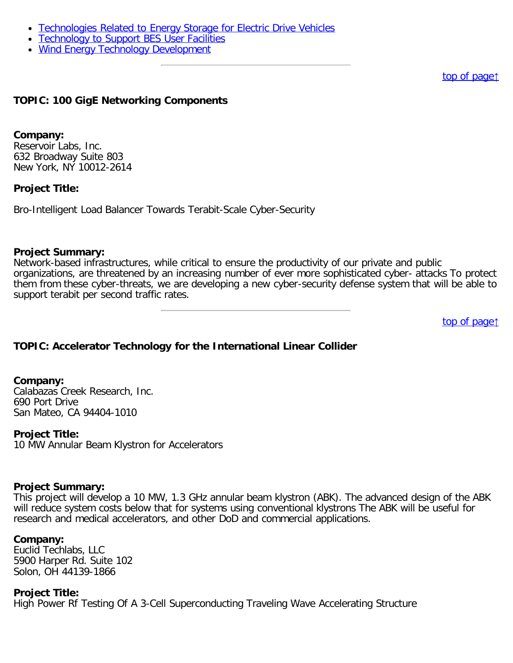- [Technologies Related to Energy Storage for Electric Drive Vehicles](#page-34-0)
- [Technology to Support BES User Facilities](#page-34-1)
- [Wind Energy Technology Development](#page-35-0)

#### [top of page](#page-0-0)[↑](#page-0-0)

### <span id="page-1-0"></span>**TOPIC: 100 GigE Networking Components**

#### **Company:**

Reservoir Labs, Inc. 632 Broadway Suite 803 New York, NY 10012-2614

### **Project Title:**

Bro-Intelligent Load Balancer Towards Terabit-Scale Cyber-Security

#### **Project Summary:**

Network-based infrastructures, while critical to ensure the productivity of our private and public organizations, are threatened by an increasing number of ever more sophisticated cyber- attacks To protect them from these cyber-threats, we are developing a new cyber-security defense system that will be able to support terabit per second traffic rates.

[top of page](#page-0-0)[↑](#page-0-0)

### <span id="page-1-1"></span>**TOPIC: Accelerator Technology for the International Linear Collider**

#### **Company:**

Calabazas Creek Research, Inc. 690 Port Drive San Mateo, CA 94404-1010

#### **Project Title:**

10 MW Annular Beam Klystron for Accelerators

#### **Project Summary:**

This project will develop a 10 MW, 1.3 GHz annular beam klystron (ABK). The advanced design of the ABK will reduce system costs below that for systems using conventional klystrons The ABK will be useful for research and medical accelerators, and other DoD and commercial applications.

#### **Company:**

Euclid Techlabs, LLC 5900 Harper Rd. Suite 102 Solon, OH 44139-1866

#### **Project Title:**

High Power Rf Testing Of A 3-Cell Superconducting Traveling Wave Accelerating Structure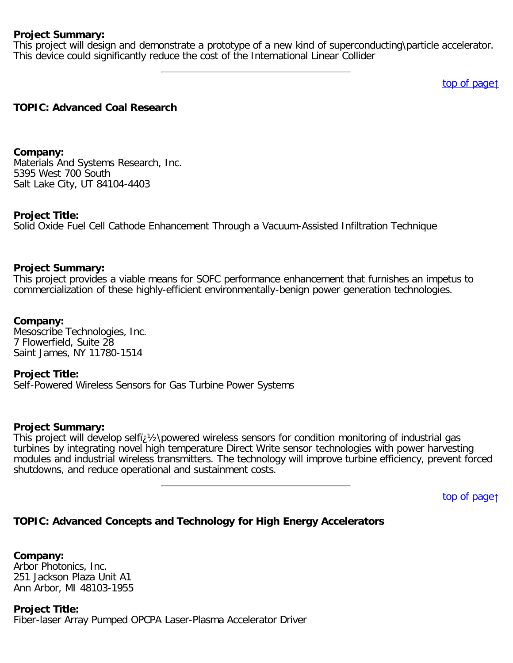This project will design and demonstrate a prototype of a new kind of superconducting\particle accelerator. This device could significantly reduce the cost of the International Linear Collider

[top of page](#page-0-0)[↑](#page-0-0)

# <span id="page-2-0"></span>**TOPIC: Advanced Coal Research**

**Company:** Materials And Systems Research, Inc. 5395 West 700 South Salt Lake City, UT 84104-4403

### **Project Title:**

Solid Oxide Fuel Cell Cathode Enhancement Through a Vacuum-Assisted Infiltration Technique

### **Project Summary:**

This project provides a viable means for SOFC performance enhancement that furnishes an impetus to commercialization of these highly-efficient environmentally-benign power generation technologies.

**Company:** Mesoscribe Technologies, Inc. 7 Flowerfield, Suite 28 Saint James, NY 11780-1514

#### **Project Title:**

Self-Powered Wireless Sensors for Gas Turbine Power Systems

#### **Project Summary:**

This project will develop selfi;  $\frac{1}{2}$  powered wireless sensors for condition monitoring of industrial gas turbines by integrating novel high temperature Direct Write sensor technologies with power harvesting modules and industrial wireless transmitters. The technology will improve turbine efficiency, prevent forced shutdowns, and reduce operational and sustainment costs.

[top of page](#page-0-0)[↑](#page-0-0)

# <span id="page-2-1"></span>**TOPIC: Advanced Concepts and Technology for High Energy Accelerators**

**Company:** Arbor Photonics, Inc. 251 Jackson Plaza Unit A1 Ann Arbor, MI 48103-1955

**Project Title:** Fiber-laser Array Pumped OPCPA Laser-Plasma Accelerator Driver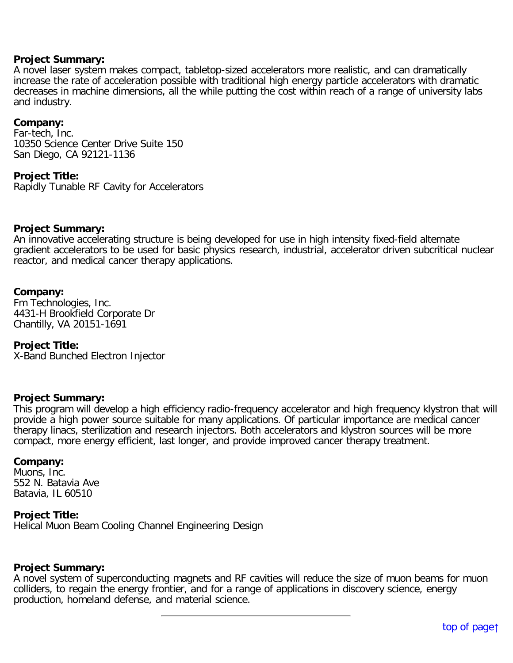A novel laser system makes compact, tabletop-sized accelerators more realistic, and can dramatically increase the rate of acceleration possible with traditional high energy particle accelerators with dramatic decreases in machine dimensions, all the while putting the cost within reach of a range of university labs and industry.

#### **Company:**

Far-tech, Inc. 10350 Science Center Drive Suite 150 San Diego, CA 92121-1136

#### **Project Title:**

Rapidly Tunable RF Cavity for Accelerators

#### **Project Summary:**

An innovative accelerating structure is being developed for use in high intensity fixed-field alternate gradient accelerators to be used for basic physics research, industrial, accelerator driven subcritical nuclear reactor, and medical cancer therapy applications.

#### **Company:**

Fm Technologies, Inc. 4431-H Brookfield Corporate Dr Chantilly, VA 20151-1691

#### **Project Title:**

X-Band Bunched Electron Injector

#### **Project Summary:**

This program will develop a high efficiency radio-frequency accelerator and high frequency klystron that will provide a high power source suitable for many applications. Of particular importance are medical cancer therapy linacs, sterilization and research injectors. Both accelerators and klystron sources will be more compact, more energy efficient, last longer, and provide improved cancer therapy treatment.

#### **Company:**

Muons, Inc. 552 N. Batavia Ave Batavia, IL 60510

#### **Project Title:**

Helical Muon Beam Cooling Channel Engineering Design

#### **Project Summary:**

<span id="page-3-0"></span>A novel system of superconducting magnets and RF cavities will reduce the size of muon beams for muon colliders, to regain the energy frontier, and for a range of applications in discovery science, energy production, homeland defense, and material science.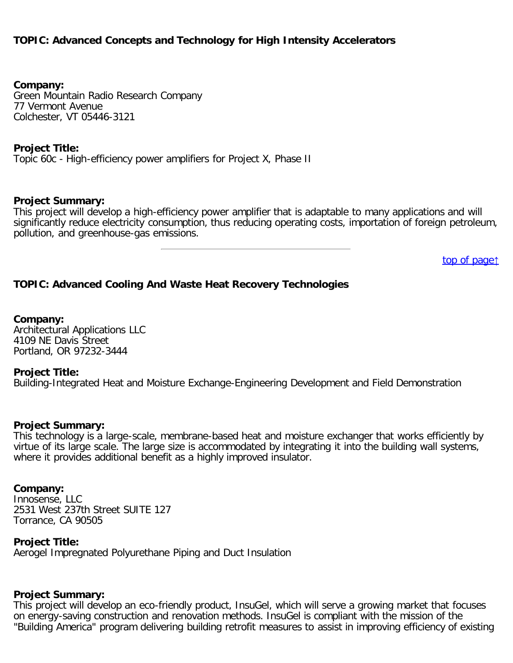# **TOPIC: Advanced Concepts and Technology for High Intensity Accelerators**

**Company:**

Green Mountain Radio Research Company 77 Vermont Avenue Colchester, VT 05446-3121

### **Project Title:**

Topic 60c - High-efficiency power amplifiers for Project X, Phase II

### **Project Summary:**

This project will develop a high-efficiency power amplifier that is adaptable to many applications and will significantly reduce electricity consumption, thus reducing operating costs, importation of foreign petroleum, pollution, and greenhouse-gas emissions.

[top of page](#page-0-0)[↑](#page-0-0)

# <span id="page-4-0"></span>**TOPIC: Advanced Cooling And Waste Heat Recovery Technologies**

**Company:** Architectural Applications LLC 4109 NE Davis Street Portland, OR 97232-3444

#### **Project Title:**

Building-Integrated Heat and Moisture Exchange-Engineering Development and Field Demonstration

#### **Project Summary:**

This technology is a large-scale, membrane-based heat and moisture exchanger that works efficiently by virtue of its large scale. The large size is accommodated by integrating it into the building wall systems, where it provides additional benefit as a highly improved insulator.

#### **Company:**

Innosense, LLC 2531 West 237th Street SUITE 127 Torrance, CA 90505

#### **Project Title:**

Aerogel Impregnated Polyurethane Piping and Duct Insulation

#### **Project Summary:**

This project will develop an eco-friendly product, InsuGel, which will serve a growing market that focuses on energy-saving construction and renovation methods. InsuGel is compliant with the mission of the "Building America" program delivering building retrofit measures to assist in improving efficiency of existing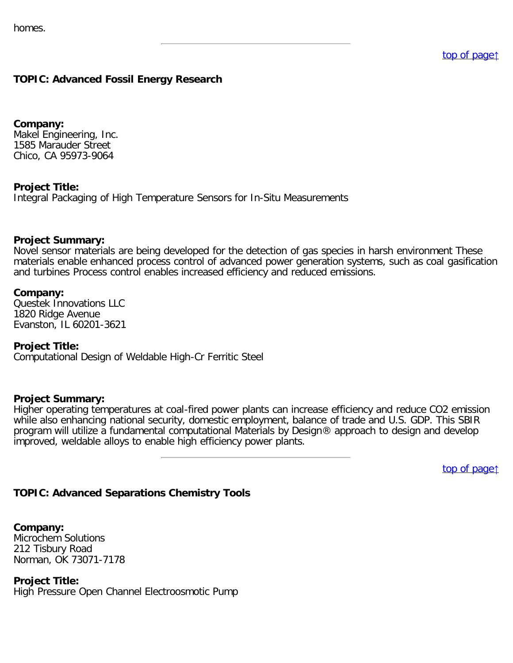# <span id="page-5-0"></span>**TOPIC: Advanced Fossil Energy Research**

**Company:** Makel Engineering, Inc. 1585 Marauder Street Chico, CA 95973-9064

### **Project Title:**

Integral Packaging of High Temperature Sensors for In-Situ Measurements

#### **Project Summary:**

Novel sensor materials are being developed for the detection of gas species in harsh environment These materials enable enhanced process control of advanced power generation systems, such as coal gasification and turbines Process control enables increased efficiency and reduced emissions.

#### **Company:**

Questek Innovations LLC 1820 Ridge Avenue Evanston, IL 60201-3621

#### **Project Title:**

Computational Design of Weldable High-Cr Ferritic Steel

#### **Project Summary:**

Higher operating temperatures at coal-fired power plants can increase efficiency and reduce CO2 emission while also enhancing national security, domestic employment, balance of trade and U.S. GDP. This SBIR program will utilize a fundamental computational Materials by Design® approach to design and develop improved, weldable alloys to enable high efficiency power plants.

[top of page](#page-0-0)[↑](#page-0-0)

### <span id="page-5-1"></span>**TOPIC: Advanced Separations Chemistry Tools**

**Company:** Microchem Solutions 212 Tisbury Road Norman, OK 73071-7178

**Project Title:**

High Pressure Open Channel Electroosmotic Pump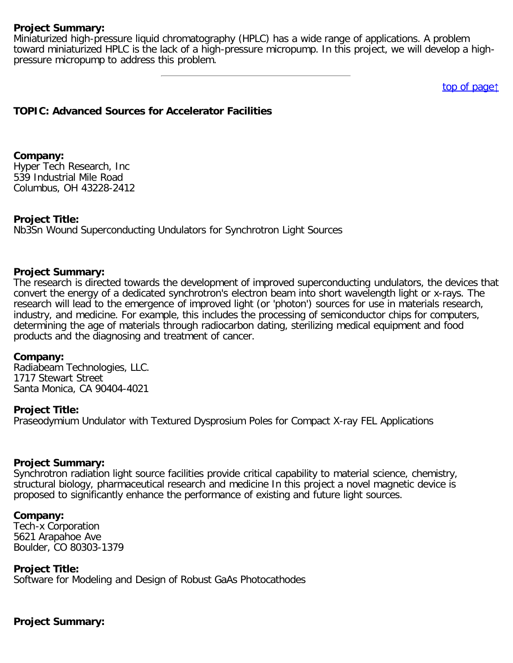Miniaturized high-pressure liquid chromatography (HPLC) has a wide range of applications. A problem toward miniaturized HPLC is the lack of a high-pressure micropump. In this project, we will develop a highpressure micropump to address this problem.

[top of page](#page-0-0)[↑](#page-0-0)

### <span id="page-6-0"></span>**TOPIC: Advanced Sources for Accelerator Facilities**

**Company:** Hyper Tech Research, Inc 539 Industrial Mile Road Columbus, OH 43228-2412

#### **Project Title:**

Nb3Sn Wound Superconducting Undulators for Synchrotron Light Sources

#### **Project Summary:**

The research is directed towards the development of improved superconducting undulators, the devices that convert the energy of a dedicated synchrotron's electron beam into short wavelength light or x-rays. The research will lead to the emergence of improved light (or 'photon') sources for use in materials research, industry, and medicine. For example, this includes the processing of semiconductor chips for computers, determining the age of materials through radiocarbon dating, sterilizing medical equipment and food products and the diagnosing and treatment of cancer.

#### **Company:**

Radiabeam Technologies, LLC. 1717 Stewart Street Santa Monica, CA 90404-4021

#### **Project Title:**

Praseodymium Undulator with Textured Dysprosium Poles for Compact X-ray FEL Applications

#### **Project Summary:**

Synchrotron radiation light source facilities provide critical capability to material science, chemistry, structural biology, pharmaceutical research and medicine In this project a novel magnetic device is proposed to significantly enhance the performance of existing and future light sources.

#### **Company:**

Tech-x Corporation 5621 Arapahoe Ave Boulder, CO 80303-1379

#### **Project Title:**

Software for Modeling and Design of Robust GaAs Photocathodes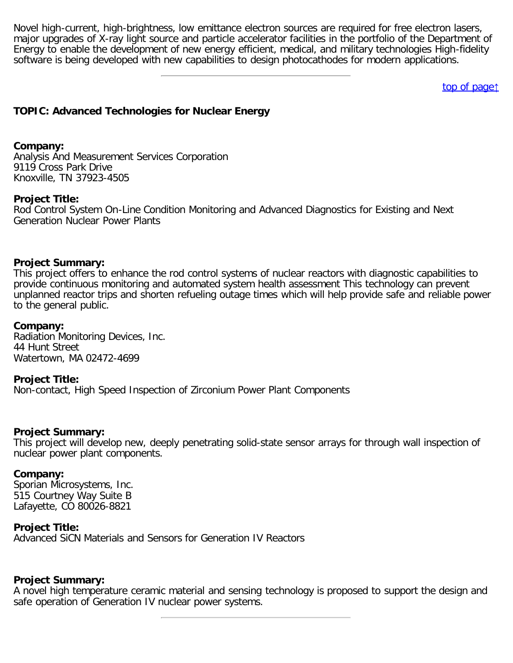Novel high-current, high-brightness, low emittance electron sources are required for free electron lasers, major upgrades of X-ray light source and particle accelerator facilities in the portfolio of the Department of Energy to enable the development of new energy efficient, medical, and military technologies High-fidelity software is being developed with new capabilities to design photocathodes for modern applications.

[top of page](#page-0-0)[↑](#page-0-0)

# <span id="page-7-0"></span>**TOPIC: Advanced Technologies for Nuclear Energy**

#### **Company:**

Analysis And Measurement Services Corporation 9119 Cross Park Drive Knoxville, TN 37923-4505

### **Project Title:**

Rod Control System On-Line Condition Monitoring and Advanced Diagnostics for Existing and Next Generation Nuclear Power Plants

### **Project Summary:**

This project offers to enhance the rod control systems of nuclear reactors with diagnostic capabilities to provide continuous monitoring and automated system health assessment This technology can prevent unplanned reactor trips and shorten refueling outage times which will help provide safe and reliable power to the general public.

#### **Company:**

Radiation Monitoring Devices, Inc. 44 Hunt Street Watertown, MA 02472-4699

#### **Project Title:**

Non-contact, High Speed Inspection of Zirconium Power Plant Components

#### **Project Summary:**

This project will develop new, deeply penetrating solid-state sensor arrays for through wall inspection of nuclear power plant components.

#### **Company:**

Sporian Microsystems, Inc. 515 Courtney Way Suite B Lafayette, CO 80026-8821

#### **Project Title:**

Advanced SiCN Materials and Sensors for Generation IV Reactors

### **Project Summary:**

A novel high temperature ceramic material and sensing technology is proposed to support the design and safe operation of Generation IV nuclear power systems.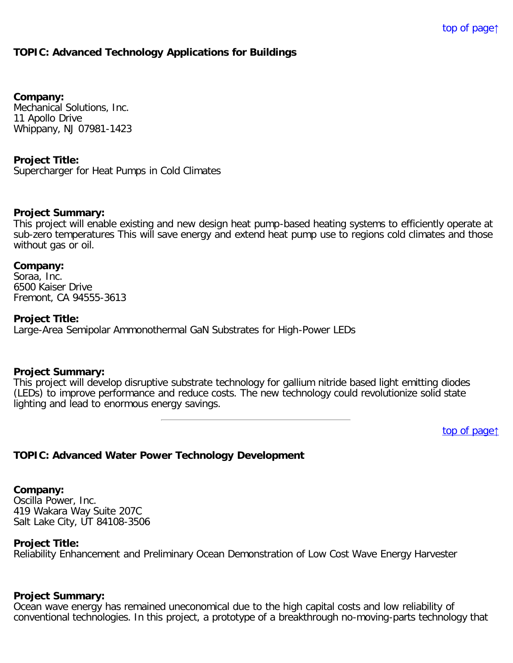# <span id="page-8-0"></span>**TOPIC: Advanced Technology Applications for Buildings**

**Company:**

Mechanical Solutions, Inc. 11 Apollo Drive Whippany, NJ 07981-1423

**Project Title:**

Supercharger for Heat Pumps in Cold Climates

#### **Project Summary:**

This project will enable existing and new design heat pump-based heating systems to efficiently operate at sub-zero temperatures This will save energy and extend heat pump use to regions cold climates and those without gas or oil.

#### **Company:**

Soraa, Inc. 6500 Kaiser Drive Fremont, CA 94555-3613

#### **Project Title:**

Large-Area Semipolar Ammonothermal GaN Substrates for High-Power LEDs

#### **Project Summary:**

This project will develop disruptive substrate technology for gallium nitride based light emitting diodes (LEDs) to improve performance and reduce costs. The new technology could revolutionize solid state lighting and lead to enormous energy savings.

[top of page](#page-0-0)[↑](#page-0-0)

### <span id="page-8-1"></span>**TOPIC: Advanced Water Power Technology Development**

**Company:**

Oscilla Power, Inc. 419 Wakara Way Suite 207C Salt Lake City, UT 84108-3506

#### **Project Title:**

Reliability Enhancement and Preliminary Ocean Demonstration of Low Cost Wave Energy Harvester

### **Project Summary:**

Ocean wave energy has remained uneconomical due to the high capital costs and low reliability of conventional technologies. In this project, a prototype of a breakthrough no-moving-parts technology that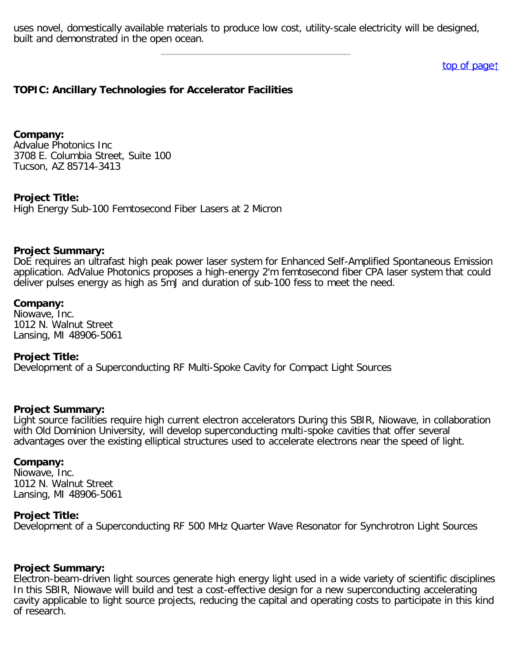uses novel, domestically available materials to produce low cost, utility-scale electricity will be designed, built and demonstrated in the open ocean.

[top of page](#page-0-0)[↑](#page-0-0)

### <span id="page-9-0"></span>**TOPIC: Ancillary Technologies for Accelerator Facilities**

**Company:** Advalue Photonics Inc 3708 E. Columbia Street, Suite 100 Tucson, AZ 85714-3413

**Project Title:**

High Energy Sub-100 Femtosecond Fiber Lasers at 2 Micron

### **Project Summary:**

DoE requires an ultrafast high peak power laser system for Enhanced Self-Amplified Spontaneous Emission application. AdValue Photonics proposes a high-energy 2'm femtosecond fiber CPA laser system that could deliver pulses energy as high as 5mJ and duration of sub-100 fess to meet the need.

### **Company:**

Niowave, Inc. 1012 N. Walnut Street Lansing, MI 48906-5061

### **Project Title:**

Development of a Superconducting RF Multi-Spoke Cavity for Compact Light Sources

### **Project Summary:**

Light source facilities require high current electron accelerators During this SBIR, Niowave, in collaboration with Old Dominion University, will develop superconducting multi-spoke cavities that offer several advantages over the existing elliptical structures used to accelerate electrons near the speed of light.

#### **Company:**

Niowave, Inc. 1012 N. Walnut Street Lansing, MI 48906-5061

### **Project Title:**

Development of a Superconducting RF 500 MHz Quarter Wave Resonator for Synchrotron Light Sources

#### **Project Summary:**

Electron-beam-driven light sources generate high energy light used in a wide variety of scientific disciplines In this SBIR, Niowave will build and test a cost-effective design for a new superconducting accelerating cavity applicable to light source projects, reducing the capital and operating costs to participate in this kind of research.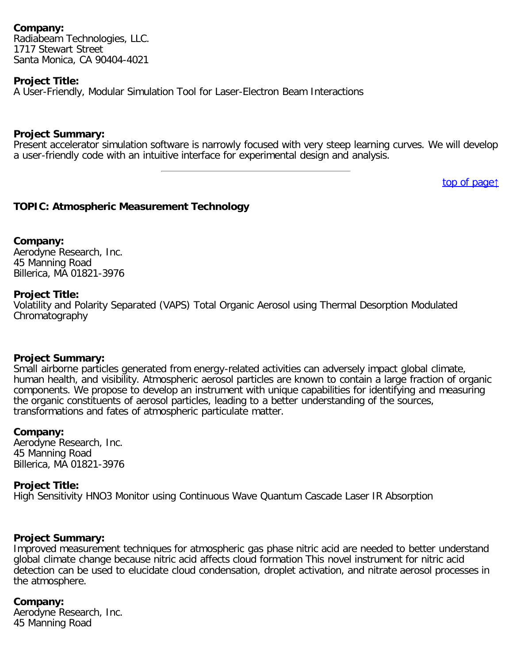### **Company:**

Radiabeam Technologies, LLC. 1717 Stewart Street Santa Monica, CA 90404-4021

### **Project Title:**

A User-Friendly, Modular Simulation Tool for Laser-Electron Beam Interactions

### **Project Summary:**

Present accelerator simulation software is narrowly focused with very steep learning curves. We will develop a user-friendly code with an intuitive interface for experimental design and analysis.

[top of page](#page-0-0)[↑](#page-0-0)

# <span id="page-10-0"></span>**TOPIC: Atmospheric Measurement Technology**

### **Company:**

Aerodyne Research, Inc. 45 Manning Road Billerica, MA 01821-3976

### **Project Title:**

Volatility and Polarity Separated (VAPS) Total Organic Aerosol using Thermal Desorption Modulated Chromatography

### **Project Summary:**

Small airborne particles generated from energy-related activities can adversely impact global climate, human health, and visibility. Atmospheric aerosol particles are known to contain a large fraction of organic components. We propose to develop an instrument with unique capabilities for identifying and measuring the organic constituents of aerosol particles, leading to a better understanding of the sources, transformations and fates of atmospheric particulate matter.

### **Company:**

Aerodyne Research, Inc. 45 Manning Road Billerica, MA 01821-3976

### **Project Title:**

High Sensitivity HNO3 Monitor using Continuous Wave Quantum Cascade Laser IR Absorption

### **Project Summary:**

Improved measurement techniques for atmospheric gas phase nitric acid are needed to better understand global climate change because nitric acid affects cloud formation This novel instrument for nitric acid detection can be used to elucidate cloud condensation, droplet activation, and nitrate aerosol processes in the atmosphere.

### **Company:**

Aerodyne Research, Inc. 45 Manning Road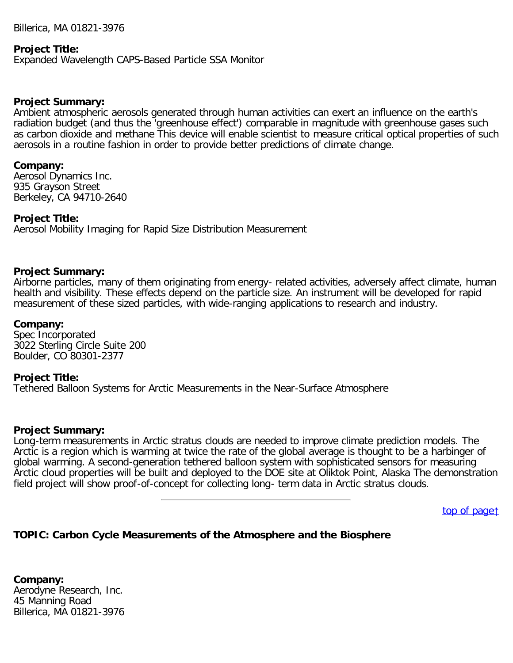Billerica, MA 01821-3976

#### **Project Title:**

Expanded Wavelength CAPS-Based Particle SSA Monitor

#### **Project Summary:**

Ambient atmospheric aerosols generated through human activities can exert an influence on the earth's radiation budget (and thus the 'greenhouse effect') comparable in magnitude with greenhouse gases such as carbon dioxide and methane This device will enable scientist to measure critical optical properties of such aerosols in a routine fashion in order to provide better predictions of climate change.

#### **Company:**

Aerosol Dynamics Inc. 935 Grayson Street Berkeley, CA 94710-2640

### **Project Title:**

Aerosol Mobility Imaging for Rapid Size Distribution Measurement

### **Project Summary:**

Airborne particles, many of them originating from energy- related activities, adversely affect climate, human health and visibility. These effects depend on the particle size. An instrument will be developed for rapid measurement of these sized particles, with wide-ranging applications to research and industry.

### **Company:**

Spec Incorporated 3022 Sterling Circle Suite 200 Boulder, CO 80301-2377

#### **Project Title:**

Tethered Balloon Systems for Arctic Measurements in the Near-Surface Atmosphere

#### **Project Summary:**

Long-term measurements in Arctic stratus clouds are needed to improve climate prediction models. The Arctic is a region which is warming at twice the rate of the global average is thought to be a harbinger of global warming. A second-generation tethered balloon system with sophisticated sensors for measuring Arctic cloud properties will be built and deployed to the DOE site at Oliktok Point, Alaska The demonstration field project will show proof-of-concept for collecting long- term data in Arctic stratus clouds.

[top of page](#page-0-0)[↑](#page-0-0)

### <span id="page-11-0"></span>**TOPIC: Carbon Cycle Measurements of the Atmosphere and the Biosphere**

**Company:** Aerodyne Research, Inc. 45 Manning Road Billerica, MA 01821-3976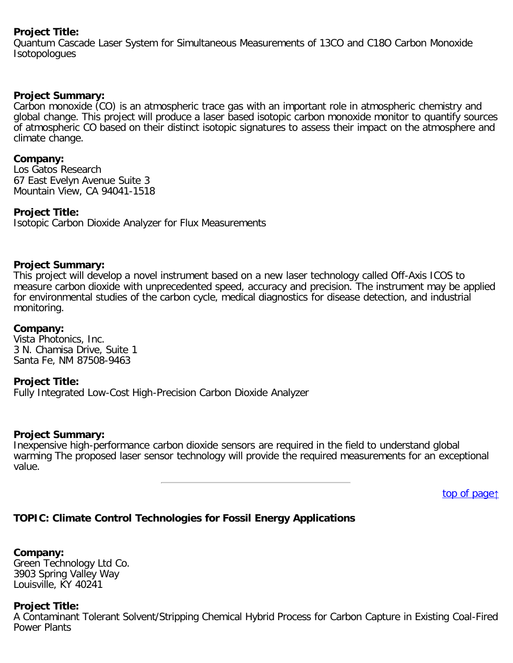### **Project Title:**

Quantum Cascade Laser System for Simultaneous Measurements of 13CO and C18O Carbon Monoxide Isotopologues

### **Project Summary:**

Carbon monoxide (CO) is an atmospheric trace gas with an important role in atmospheric chemistry and global change. This project will produce a laser based isotopic carbon monoxide monitor to quantify sources of atmospheric CO based on their distinct isotopic signatures to assess their impact on the atmosphere and climate change.

### **Company:**

Los Gatos Research 67 East Evelyn Avenue Suite 3 Mountain View, CA 94041-1518

### **Project Title:**

Isotopic Carbon Dioxide Analyzer for Flux Measurements

### **Project Summary:**

This project will develop a novel instrument based on a new laser technology called Off-Axis ICOS to measure carbon dioxide with unprecedented speed, accuracy and precision. The instrument may be applied for environmental studies of the carbon cycle, medical diagnostics for disease detection, and industrial monitoring.

### **Company:**

Vista Photonics, Inc. 3 N. Chamisa Drive, Suite 1 Santa Fe, NM 87508-9463

### **Project Title:**

Fully Integrated Low-Cost High-Precision Carbon Dioxide Analyzer

### **Project Summary:**

Inexpensive high-performance carbon dioxide sensors are required in the field to understand global warming The proposed laser sensor technology will provide the required measurements for an exceptional value.

[top of page](#page-0-0)[↑](#page-0-0)

# <span id="page-12-0"></span>**TOPIC: Climate Control Technologies for Fossil Energy Applications**

**Company:** Green Technology Ltd Co. 3903 Spring Valley Way Louisville, KY 40241

### **Project Title:**

A Contaminant Tolerant Solvent/Stripping Chemical Hybrid Process for Carbon Capture in Existing Coal-Fired Power Plants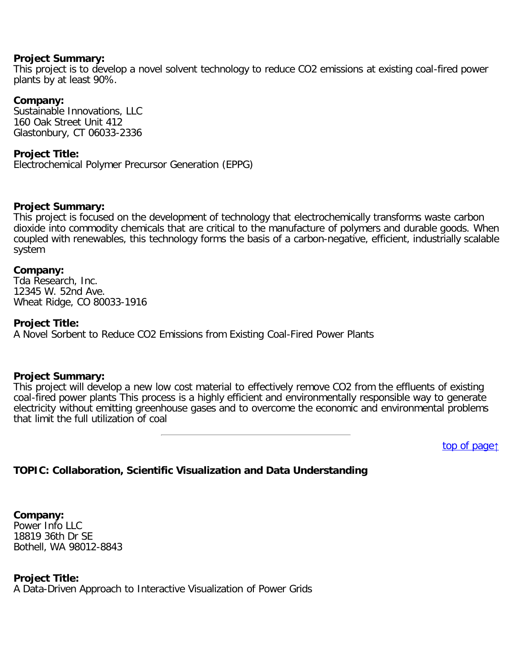This project is to develop a novel solvent technology to reduce CO2 emissions at existing coal-fired power plants by at least 90%.

### **Company:**

Sustainable Innovations, LLC 160 Oak Street Unit 412 Glastonbury, CT 06033-2336

### **Project Title:**

Electrochemical Polymer Precursor Generation (EPPG)

#### **Project Summary:**

This project is focused on the development of technology that electrochemically transforms waste carbon dioxide into commodity chemicals that are critical to the manufacture of polymers and durable goods. When coupled with renewables, this technology forms the basis of a carbon-negative, efficient, industrially scalable system

#### **Company:**

Tda Research, Inc. 12345 W. 52nd Ave. Wheat Ridge, CO 80033-1916

### **Project Title:**

A Novel Sorbent to Reduce CO2 Emissions from Existing Coal-Fired Power Plants

### **Project Summary:**

This project will develop a new low cost material to effectively remove CO2 from the effluents of existing coal-fired power plants This process is a highly efficient and environmentally responsible way to generate electricity without emitting greenhouse gases and to overcome the economic and environmental problems that limit the full utilization of coal

[top of page](#page-0-0)[↑](#page-0-0)

# <span id="page-13-0"></span>**TOPIC: Collaboration, Scientific Visualization and Data Understanding**

**Company:** Power Info LLC 18819 36th Dr SE Bothell, WA 98012-8843

### **Project Title:**

A Data-Driven Approach to Interactive Visualization of Power Grids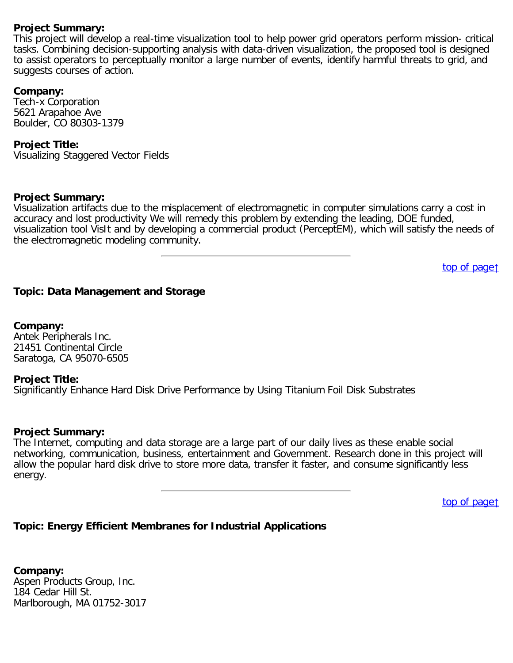This project will develop a real-time visualization tool to help power grid operators perform mission- critical tasks. Combining decision-supporting analysis with data-driven visualization, the proposed tool is designed to assist operators to perceptually monitor a large number of events, identify harmful threats to grid, and suggests courses of action.

### **Company:**

Tech-x Corporation 5621 Arapahoe Ave Boulder, CO 80303-1379

### **Project Title:**

Visualizing Staggered Vector Fields

### **Project Summary:**

Visualization artifacts due to the misplacement of electromagnetic in computer simulations carry a cost in accuracy and lost productivity We will remedy this problem by extending the leading, DOE funded, visualization tool VisIt and by developing a commercial product (PerceptEM), which will satisfy the needs of the electromagnetic modeling community.

[top of page](#page-0-0)[↑](#page-0-0)

### <span id="page-14-0"></span>**Topic: Data Management and Storage**

**Company:** Antek Peripherals Inc. 21451 Continental Circle Saratoga, CA 95070-6505

#### **Project Title:**

Significantly Enhance Hard Disk Drive Performance by Using Titanium Foil Disk Substrates

#### **Project Summary:**

The Internet, computing and data storage are a large part of our daily lives as these enable social networking, communication, business, entertainment and Government. Research done in this project will allow the popular hard disk drive to store more data, transfer it faster, and consume significantly less energy.

[top of page](#page-0-0)[↑](#page-0-0)

# <span id="page-14-1"></span>**Topic: Energy Efficient Membranes for Industrial Applications**

**Company:** Aspen Products Group, Inc. 184 Cedar Hill St. Marlborough, MA 01752-3017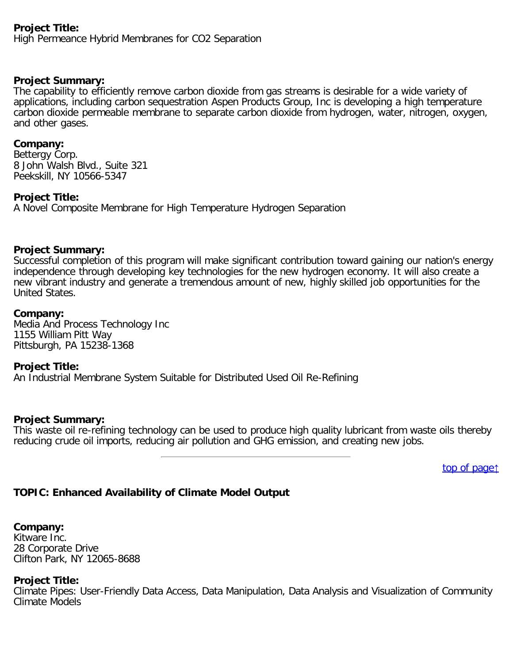# **Project Title:**

High Permeance Hybrid Membranes for CO2 Separation

# **Project Summary:**

The capability to efficiently remove carbon dioxide from gas streams is desirable for a wide variety of applications, including carbon sequestration Aspen Products Group, Inc is developing a high temperature carbon dioxide permeable membrane to separate carbon dioxide from hydrogen, water, nitrogen, oxygen, and other gases.

### **Company:**

Bettergy Corp. 8 John Walsh Blvd., Suite 321 Peekskill, NY 10566-5347

### **Project Title:**

A Novel Composite Membrane for High Temperature Hydrogen Separation

### **Project Summary:**

Successful completion of this program will make significant contribution toward gaining our nation's energy independence through developing key technologies for the new hydrogen economy. It will also create a new vibrant industry and generate a tremendous amount of new, highly skilled job opportunities for the United States.

### **Company:**

Media And Process Technology Inc 1155 William Pitt Way Pittsburgh, PA 15238-1368

### **Project Title:**

An Industrial Membrane System Suitable for Distributed Used Oil Re-Refining

#### **Project Summary:**

This waste oil re-refining technology can be used to produce high quality lubricant from waste oils thereby reducing crude oil imports, reducing air pollution and GHG emission, and creating new jobs.

[top of page](#page-0-0)[↑](#page-0-0)

# <span id="page-15-0"></span>**TOPIC: Enhanced Availability of Climate Model Output**

**Company:** Kitware Inc. 28 Corporate Drive Clifton Park, NY 12065-8688

### **Project Title:**

Climate Pipes: User-Friendly Data Access, Data Manipulation, Data Analysis and Visualization of Community Climate Models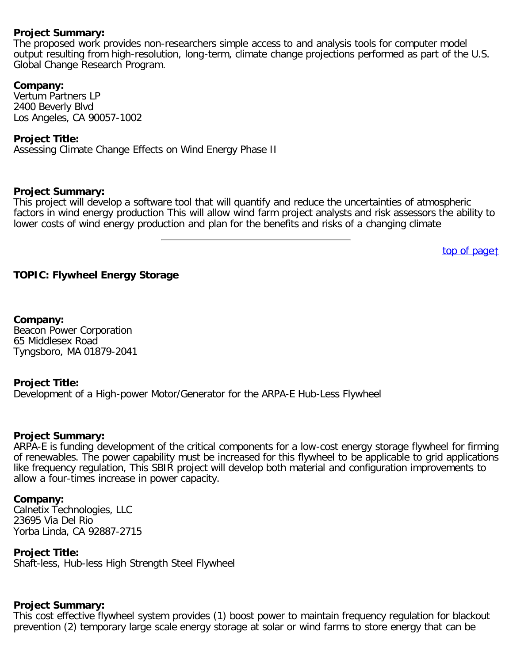The proposed work provides non-researchers simple access to and analysis tools for computer model output resulting from high-resolution, long-term, climate change projections performed as part of the U.S. Global Change Research Program.

### **Company:**

Vertum Partners LP 2400 Beverly Blvd Los Angeles, CA 90057-1002

### **Project Title:**

Assessing Climate Change Effects on Wind Energy Phase II

#### **Project Summary:**

This project will develop a software tool that will quantify and reduce the uncertainties of atmospheric factors in wind energy production This will allow wind farm project analysts and risk assessors the ability to lower costs of wind energy production and plan for the benefits and risks of a changing climate

[top of page](#page-0-0)[↑](#page-0-0)

# <span id="page-16-0"></span>**TOPIC: Flywheel Energy Storage**

**Company:** Beacon Power Corporation 65 Middlesex Road Tyngsboro, MA 01879-2041

### **Project Title:**

Development of a High-power Motor/Generator for the ARPA-E Hub-Less Flywheel

### **Project Summary:**

ARPA-E is funding development of the critical components for a low-cost energy storage flywheel for firming of renewables. The power capability must be increased for this flywheel to be applicable to grid applications like frequency regulation, This SBIR project will develop both material and configuration improvements to allow a four-times increase in power capacity.

#### **Company:**

Calnetix Technologies, LLC 23695 Via Del Rio Yorba Linda, CA 92887-2715

**Project Title:**

Shaft-less, Hub-less High Strength Steel Flywheel

### **Project Summary:**

This cost effective flywheel system provides (1) boost power to maintain frequency regulation for blackout prevention (2) temporary large scale energy storage at solar or wind farms to store energy that can be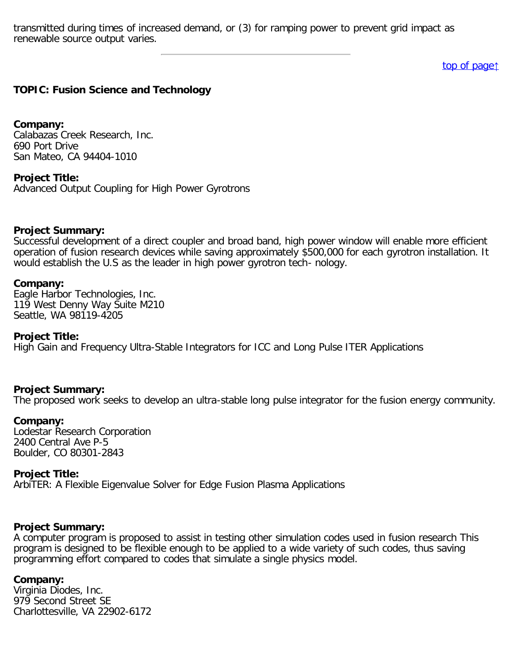transmitted during times of increased demand, or (3) for ramping power to prevent grid impact as renewable source output varies.

[top of page](#page-0-0)[↑](#page-0-0)

### <span id="page-17-0"></span>**TOPIC: Fusion Science and Technology**

**Company:** Calabazas Creek Research, Inc.

690 Port Drive San Mateo, CA 94404-1010

**Project Title:**

Advanced Output Coupling for High Power Gyrotrons

#### **Project Summary:**

Successful development of a direct coupler and broad band, high power window will enable more efficient operation of fusion research devices while saving approximately \$500,000 for each gyrotron installation. It would establish the U.S as the leader in high power gyrotron tech- nology.

#### **Company:**

Eagle Harbor Technologies, Inc. 119 West Denny Way Suite M210 Seattle, WA 98119-4205

#### **Project Title:**

High Gain and Frequency Ultra-Stable Integrators for ICC and Long Pulse ITER Applications

#### **Project Summary:**

The proposed work seeks to develop an ultra-stable long pulse integrator for the fusion energy community.

#### **Company:**

Lodestar Research Corporation 2400 Central Ave P-5 Boulder, CO 80301-2843

#### **Project Title:**

ArbiTER: A Flexible Eigenvalue Solver for Edge Fusion Plasma Applications

#### **Project Summary:**

A computer program is proposed to assist in testing other simulation codes used in fusion research This program is designed to be flexible enough to be applied to a wide variety of such codes, thus saving programming effort compared to codes that simulate a single physics model.

#### **Company:**

Virginia Diodes, Inc. 979 Second Street SE Charlottesville, VA 22902-6172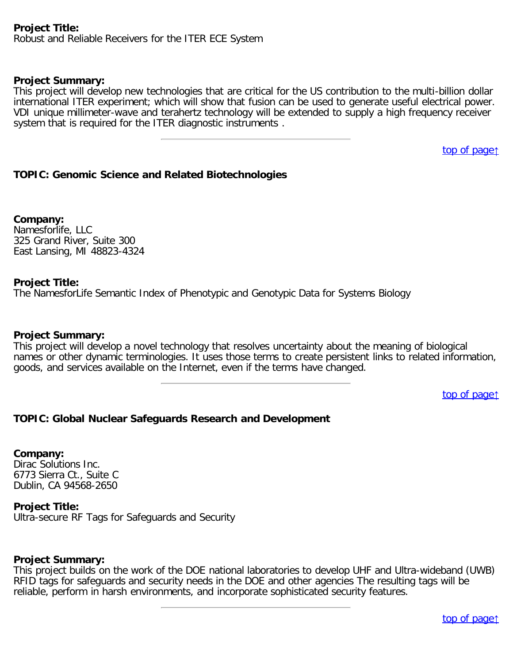### **Project Title:**

Robust and Reliable Receivers for the ITER ECE System

#### **Project Summary:**

This project will develop new technologies that are critical for the US contribution to the multi-billion dollar international ITER experiment; which will show that fusion can be used to generate useful electrical power. VDI unique millimeter-wave and terahertz technology will be extended to supply a high frequency receiver system that is required for the ITER diagnostic instruments .

[top of page](#page-0-0)[↑](#page-0-0)

### <span id="page-18-0"></span>**TOPIC: Genomic Science and Related Biotechnologies**

**Company:** Namesforlife, LLC 325 Grand River, Suite 300 East Lansing, MI 48823-4324

### **Project Title:**

The NamesforLife Semantic Index of Phenotypic and Genotypic Data for Systems Biology

#### **Project Summary:**

This project will develop a novel technology that resolves uncertainty about the meaning of biological names or other dynamic terminologies. It uses those terms to create persistent links to related information, goods, and services available on the Internet, even if the terms have changed.

[top of page](#page-0-0)[↑](#page-0-0)

### <span id="page-18-1"></span>**TOPIC: Global Nuclear Safeguards Research and Development**

#### **Company:**

Dirac Solutions Inc. 6773 Sierra Ct., Suite C Dublin, CA 94568-2650

#### **Project Title:**

Ultra-secure RF Tags for Safeguards and Security

#### **Project Summary:**

<span id="page-18-2"></span>This project builds on the work of the DOE national laboratories to develop UHF and Ultra-wideband (UWB) RFID tags for safeguards and security needs in the DOE and other agencies The resulting tags will be reliable, perform in harsh environments, and incorporate sophisticated security features.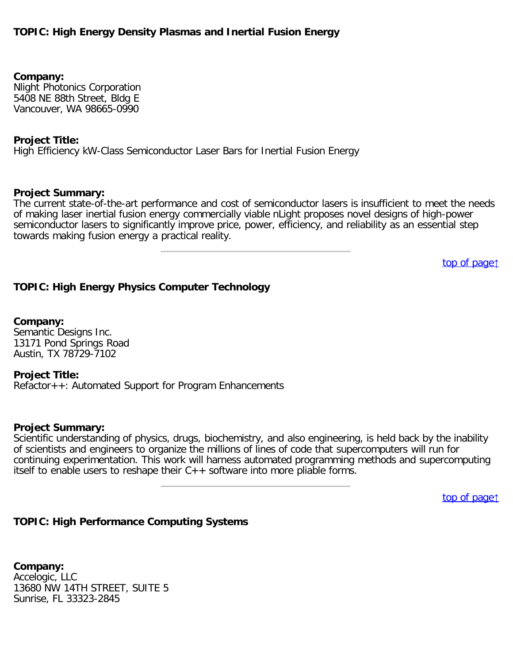# **TOPIC: High Energy Density Plasmas and Inertial Fusion Energy**

**Company:** Nlight Photonics Corporation 5408 NE 88th Street, Bldg E Vancouver, WA 98665-0990

#### **Project Title:**

High Efficiency kW-Class Semiconductor Laser Bars for Inertial Fusion Energy

#### **Project Summary:**

The current state-of-the-art performance and cost of semiconductor lasers is insufficient to meet the needs of making laser inertial fusion energy commercially viable nLight proposes novel designs of high-power semiconductor lasers to significantly improve price, power, efficiency, and reliability as an essential step towards making fusion energy a practical reality.

[top of page](#page-0-0)[↑](#page-0-0)

### <span id="page-19-0"></span>**TOPIC: High Energy Physics Computer Technology**

**Company:** Semantic Designs Inc. 13171 Pond Springs Road Austin, TX 78729-7102

#### **Project Title:**

Refactor++: Automated Support for Program Enhancements

#### **Project Summary:**

Scientific understanding of physics, drugs, biochemistry, and also engineering, is held back by the inability of scientists and engineers to organize the millions of lines of code that supercomputers will run for continuing experimentation. This work will harness automated programming methods and supercomputing itself to enable users to reshape their C++ software into more pliable forms.

[top of page](#page-0-0)[↑](#page-0-0)

#### <span id="page-19-1"></span>**TOPIC: High Performance Computing Systems**

**Company:** Accelogic, LLC 13680 NW 14TH STREET, SUITE 5 Sunrise, FL 33323-2845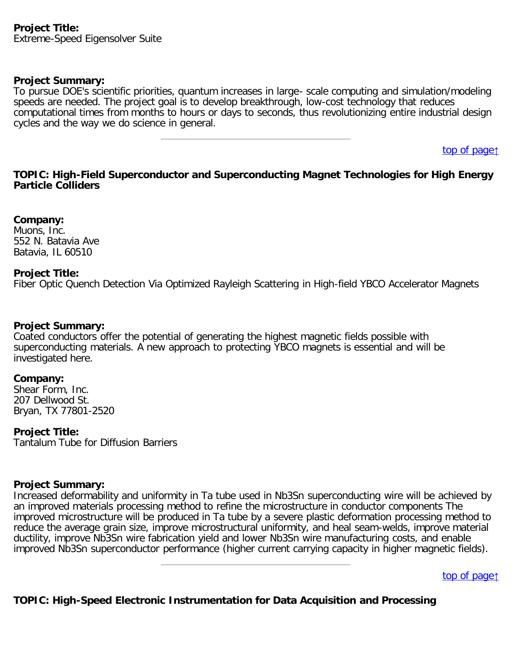To pursue DOE's scientific priorities, quantum increases in large- scale computing and simulation/modeling speeds are needed. The project goal is to develop breakthrough, low-cost technology that reduces computational times from months to hours or days to seconds, thus revolutionizing entire industrial design cycles and the way we do science in general.

[top of page](#page-0-0)[↑](#page-0-0)

### <span id="page-20-0"></span>**TOPIC: High-Field Superconductor and Superconducting Magnet Technologies for High Energy Particle Colliders**

**Company:** Muons, Inc. 552 N. Batavia Ave Batavia, IL 60510

### **Project Title:**

Fiber Optic Quench Detection Via Optimized Rayleigh Scattering in High-field YBCO Accelerator Magnets

### **Project Summary:**

Coated conductors offer the potential of generating the highest magnetic fields possible with superconducting materials. A new approach to protecting YBCO magnets is essential and will be investigated here.

### **Company:**

Shear Form, Inc. 207 Dellwood St. Bryan, TX 77801-2520

### **Project Title:**

Tantalum Tube for Diffusion Barriers

### **Project Summary:**

Increased deformability and uniformity in Ta tube used in Nb3Sn superconducting wire will be achieved by an improved materials processing method to refine the microstructure in conductor components The improved microstructure will be produced in Ta tube by a severe plastic deformation processing method to reduce the average grain size, improve microstructural uniformity, and heal seam-welds, improve material ductility, improve Nb3Sn wire fabrication yield and lower Nb3Sn wire manufacturing costs, and enable improved Nb3Sn superconductor performance (higher current carrying capacity in higher magnetic fields).

[top of page](#page-0-0)[↑](#page-0-0)

# <span id="page-20-1"></span>**TOPIC: High-Speed Electronic Instrumentation for Data Acquisition and Processing**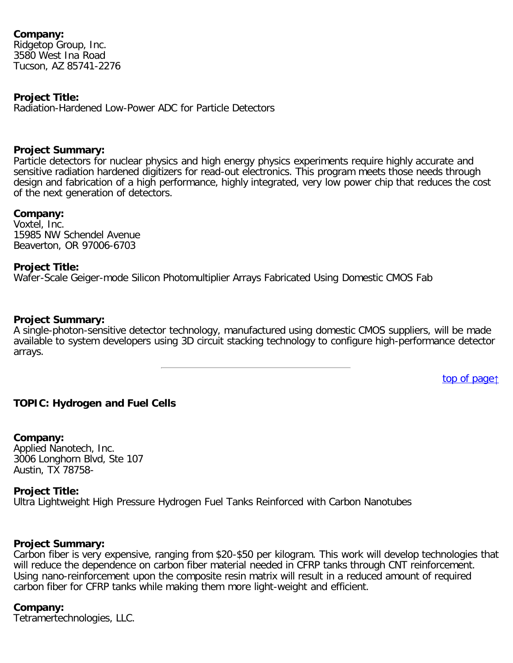### **Company:**

Ridgetop Group, Inc. 3580 West Ina Road Tucson, AZ 85741-2276

### **Project Title:**

Radiation-Hardened Low-Power ADC for Particle Detectors

### **Project Summary:**

Particle detectors for nuclear physics and high energy physics experiments require highly accurate and sensitive radiation hardened digitizers for read-out electronics. This program meets those needs through design and fabrication of a high performance, highly integrated, very low power chip that reduces the cost of the next generation of detectors.

### **Company:**

Voxtel, Inc. 15985 NW Schendel Avenue Beaverton, OR 97006-6703

### **Project Title:**

Wafer-Scale Geiger-mode Silicon Photomultiplier Arrays Fabricated Using Domestic CMOS Fab

### **Project Summary:**

A single-photon-sensitive detector technology, manufactured using domestic CMOS suppliers, will be made available to system developers using 3D circuit stacking technology to configure high-performance detector arrays.

[top of page](#page-0-0)[↑](#page-0-0)

# <span id="page-21-0"></span>**TOPIC: Hydrogen and Fuel Cells**

**Company:** Applied Nanotech, Inc. 3006 Longhorn Blvd, Ste 107

Austin, TX 78758-

### **Project Title:**

Ultra Lightweight High Pressure Hydrogen Fuel Tanks Reinforced with Carbon Nanotubes

### **Project Summary:**

Carbon fiber is very expensive, ranging from \$20-\$50 per kilogram. This work will develop technologies that will reduce the dependence on carbon fiber material needed in CFRP tanks through CNT reinforcement. Using nano-reinforcement upon the composite resin matrix will result in a reduced amount of required carbon fiber for CFRP tanks while making them more light-weight and efficient.

#### **Company:**

Tetramertechnologies, LLC.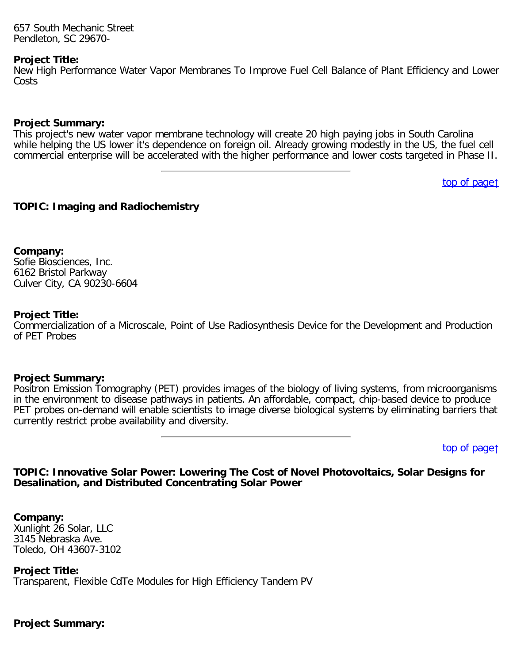657 South Mechanic Street Pendleton, SC 29670-

#### **Project Title:**

New High Performance Water Vapor Membranes To Improve Fuel Cell Balance of Plant Efficiency and Lower Costs

### **Project Summary:**

This project's new water vapor membrane technology will create 20 high paying jobs in South Carolina while helping the US lower it's dependence on foreign oil. Already growing modestly in the US, the fuel cell commercial enterprise will be accelerated with the higher performance and lower costs targeted in Phase II.

[top of page](#page-0-0)[↑](#page-0-0)

### <span id="page-22-0"></span>**TOPIC: Imaging and Radiochemistry**

**Company:** Sofie Biosciences, Inc. 6162 Bristol Parkway Culver City, CA 90230-6604

### **Project Title:**

Commercialization of a Microscale, Point of Use Radiosynthesis Device for the Development and Production of PET Probes

### **Project Summary:**

Positron Emission Tomography (PET) provides images of the biology of living systems, from microorganisms in the environment to disease pathways in patients. An affordable, compact, chip-based device to produce PET probes on-demand will enable scientists to image diverse biological systems by eliminating barriers that currently restrict probe availability and diversity.

[top of page](#page-0-0)[↑](#page-0-0)

### <span id="page-22-1"></span>**TOPIC: Innovative Solar Power: Lowering The Cost of Novel Photovoltaics, Solar Designs for Desalination, and Distributed Concentrating Solar Power**

**Company:**

Xunlight 26 Solar, LLC 3145 Nebraska Ave. Toledo, OH 43607-3102

**Project Title:**

Transparent, Flexible CdTe Modules for High Efficiency Tandem PV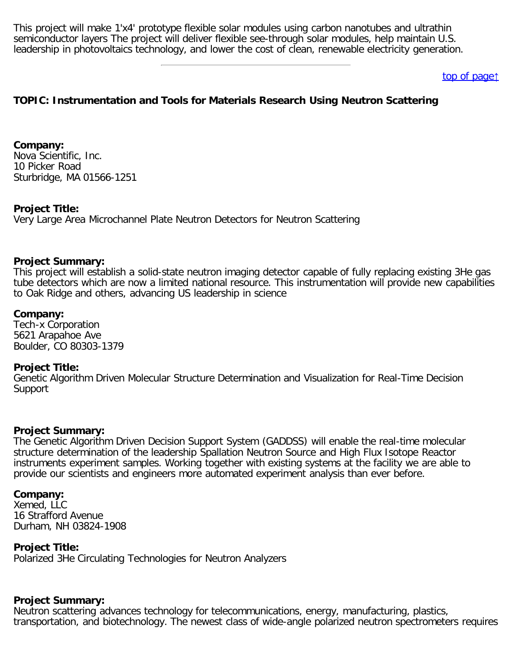This project will make 1'x4' prototype flexible solar modules using carbon nanotubes and ultrathin semiconductor layers The project will deliver flexible see-through solar modules, help maintain U.S. leadership in photovoltaics technology, and lower the cost of clean, renewable electricity generation.

### [top of page](#page-0-0)[↑](#page-0-0)

# <span id="page-23-0"></span>**TOPIC: Instrumentation and Tools for Materials Research Using Neutron Scattering**

**Company:** Nova Scientific, Inc. 10 Picker Road Sturbridge, MA 01566-1251

#### **Project Title:**

Very Large Area Microchannel Plate Neutron Detectors for Neutron Scattering

#### **Project Summary:**

This project will establish a solid-state neutron imaging detector capable of fully replacing existing 3He gas tube detectors which are now a limited national resource. This instrumentation will provide new capabilities to Oak Ridge and others, advancing US leadership in science

#### **Company:**

Tech-x Corporation 5621 Arapahoe Ave Boulder, CO 80303-1379

#### **Project Title:**

Genetic Algorithm Driven Molecular Structure Determination and Visualization for Real-Time Decision Support

#### **Project Summary:**

The Genetic Algorithm Driven Decision Support System (GADDSS) will enable the real-time molecular structure determination of the leadership Spallation Neutron Source and High Flux Isotope Reactor instruments experiment samples. Working together with existing systems at the facility we are able to provide our scientists and engineers more automated experiment analysis than ever before.

#### **Company:**

Xemed, LLC 16 Strafford Avenue Durham, NH 03824-1908

#### **Project Title:**

Polarized 3He Circulating Technologies for Neutron Analyzers

# **Project Summary:**

Neutron scattering advances technology for telecommunications, energy, manufacturing, plastics, transportation, and biotechnology. The newest class of wide-angle polarized neutron spectrometers requires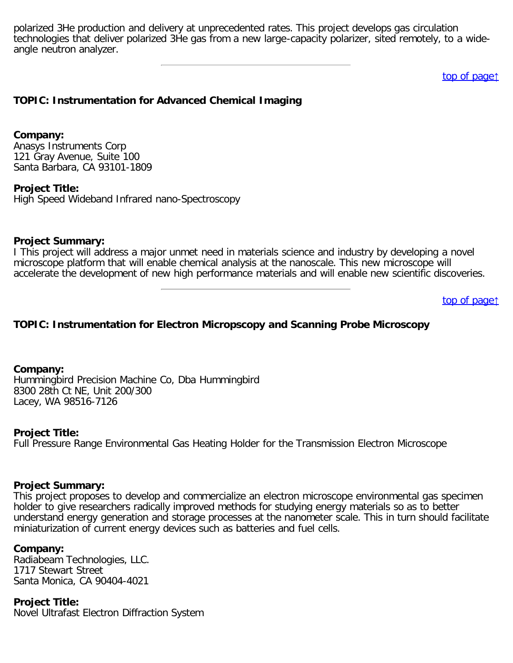polarized 3He production and delivery at unprecedented rates. This project develops gas circulation technologies that deliver polarized 3He gas from a new large-capacity polarizer, sited remotely, to a wideangle neutron analyzer.

[top of page](#page-0-0)[↑](#page-0-0)

### <span id="page-24-0"></span>**TOPIC: Instrumentation for Advanced Chemical Imaging**

#### **Company:**

Anasys Instruments Corp 121 Gray Avenue, Suite 100 Santa Barbara, CA 93101-1809

#### **Project Title:**

High Speed Wideband Infrared nano-Spectroscopy

#### **Project Summary:**

I This project will address a major unmet need in materials science and industry by developing a novel microscope platform that will enable chemical analysis at the nanoscale. This new microscope will accelerate the development of new high performance materials and will enable new scientific discoveries.

[top of page](#page-0-0)[↑](#page-0-0)

### <span id="page-24-1"></span>**TOPIC: Instrumentation for Electron Micropscopy and Scanning Probe Microscopy**

**Company:** Hummingbird Precision Machine Co, Dba Hummingbird 8300 28th Ct NE, Unit 200/300 Lacey, WA 98516-7126

#### **Project Title:**

Full Pressure Range Environmental Gas Heating Holder for the Transmission Electron Microscope

#### **Project Summary:**

This project proposes to develop and commercialize an electron microscope environmental gas specimen holder to give researchers radically improved methods for studying energy materials so as to better understand energy generation and storage processes at the nanometer scale. This in turn should facilitate miniaturization of current energy devices such as batteries and fuel cells.

#### **Company:**

Radiabeam Technologies, LLC. 1717 Stewart Street Santa Monica, CA 90404-4021

**Project Title:** Novel Ultrafast Electron Diffraction System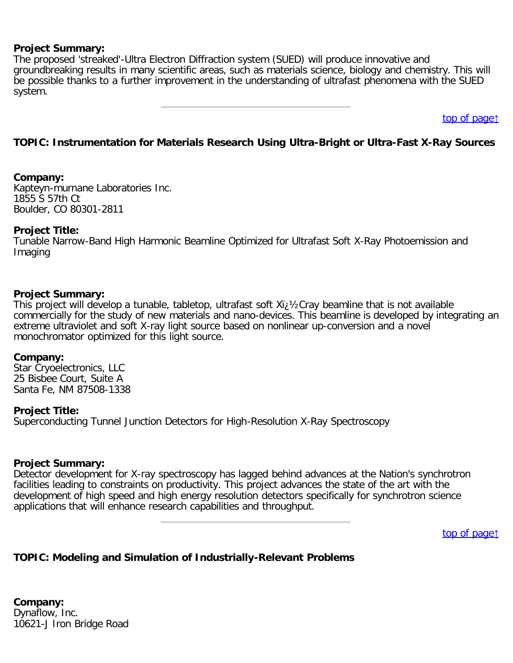The proposed 'streaked'-Ultra Electron Diffraction system (SUED) will produce innovative and groundbreaking results in many scientific areas, such as materials science, biology and chemistry. This will be possible thanks to a further improvement in the understanding of ultrafast phenomena with the SUED system.

[top of page](#page-0-0)[↑](#page-0-0)

### <span id="page-25-0"></span>**TOPIC: Instrumentation for Materials Research Using Ultra-Bright or Ultra-Fast X-Ray Sources**

#### **Company:**

Kapteyn-murnane Laboratories Inc. 1855 S 57th Ct Boulder, CO 80301-2811

### **Project Title:**

Tunable Narrow-Band High Harmonic Beamline Optimized for Ultrafast Soft X-Ray Photoemission and Imaging

#### **Project Summary:**

This project will develop a tunable, tabletop, ultrafast soft Xi; 1/2Cray beamline that is not available commercially for the study of new materials and nano-devices. This beamline is developed by integrating an extreme ultraviolet and soft X-ray light source based on nonlinear up-conversion and a novel monochromator optimized for this light source.

#### **Company:**

Star Cryoelectronics, LLC 25 Bisbee Court, Suite A Santa Fe, NM 87508-1338

### **Project Title:**

Superconducting Tunnel Junction Detectors for High-Resolution X-Ray Spectroscopy

### **Project Summary:**

Detector development for X-ray spectroscopy has lagged behind advances at the Nation's synchrotron facilities leading to constraints on productivity. This project advances the state of the art with the development of high speed and high energy resolution detectors specifically for synchrotron science applications that will enhance research capabilities and throughput.

[top of page](#page-0-0)[↑](#page-0-0)

### <span id="page-25-1"></span>**TOPIC: Modeling and Simulation of Industrially-Relevant Problems**

**Company:** Dynaflow, Inc. 10621-J Iron Bridge Road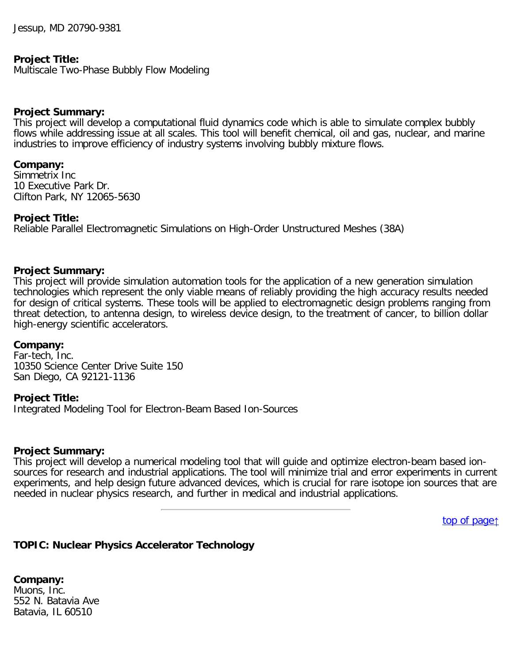Jessup, MD 20790-9381

### **Project Title:**

Multiscale Two-Phase Bubbly Flow Modeling

#### **Project Summary:**

This project will develop a computational fluid dynamics code which is able to simulate complex bubbly flows while addressing issue at all scales. This tool will benefit chemical, oil and gas, nuclear, and marine industries to improve efficiency of industry systems involving bubbly mixture flows.

#### **Company:**

Simmetrix Inc 10 Executive Park Dr. Clifton Park, NY 12065-5630

### **Project Title:**

Reliable Parallel Electromagnetic Simulations on High-Order Unstructured Meshes (38A)

### **Project Summary:**

This project will provide simulation automation tools for the application of a new generation simulation technologies which represent the only viable means of reliably providing the high accuracy results needed for design of critical systems. These tools will be applied to electromagnetic design problems ranging from threat detection, to antenna design, to wireless device design, to the treatment of cancer, to billion dollar high-energy scientific accelerators.

#### **Company:**

Far-tech, Inc. 10350 Science Center Drive Suite 150 San Diego, CA 92121-1136

#### **Project Title:**

Integrated Modeling Tool for Electron-Beam Based Ion-Sources

#### **Project Summary:**

This project will develop a numerical modeling tool that will guide and optimize electron-beam based ionsources for research and industrial applications. The tool will minimize trial and error experiments in current experiments, and help design future advanced devices, which is crucial for rare isotope ion sources that are needed in nuclear physics research, and further in medical and industrial applications.

[top of page](#page-0-0)[↑](#page-0-0)

### <span id="page-26-0"></span>**TOPIC: Nuclear Physics Accelerator Technology**

**Company:** Muons, Inc. 552 N. Batavia Ave Batavia, IL 60510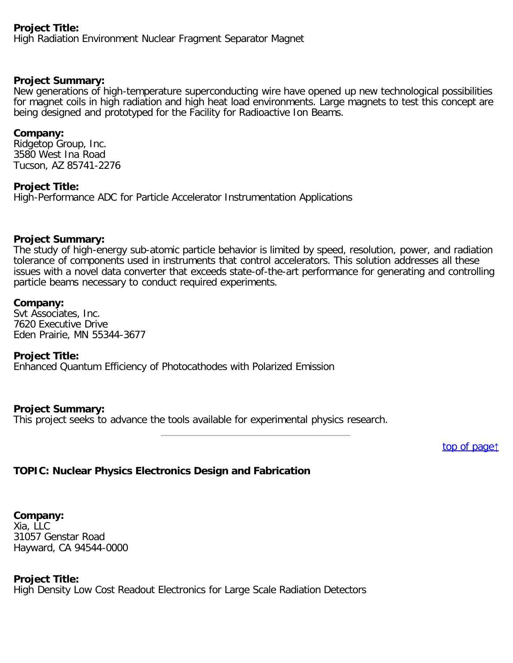# **Project Title:**

High Radiation Environment Nuclear Fragment Separator Magnet

### **Project Summary:**

New generations of high-temperature superconducting wire have opened up new technological possibilities for magnet coils in high radiation and high heat load environments. Large magnets to test this concept are being designed and prototyped for the Facility for Radioactive Ion Beams.

### **Company:**

Ridgetop Group, Inc. 3580 West Ina Road Tucson, AZ 85741-2276

# **Project Title:**

High-Performance ADC for Particle Accelerator Instrumentation Applications

### **Project Summary:**

The study of high-energy sub-atomic particle behavior is limited by speed, resolution, power, and radiation tolerance of components used in instruments that control accelerators. This solution addresses all these issues with a novel data converter that exceeds state-of-the-art performance for generating and controlling particle beams necessary to conduct required experiments.

### **Company:**

Svt Associates, Inc. 7620 Executive Drive Eden Prairie, MN 55344-3677

### **Project Title:**

Enhanced Quantum Efficiency of Photocathodes with Polarized Emission

### **Project Summary:**

This project seeks to advance the tools available for experimental physics research.

[top of page](#page-0-0)[↑](#page-0-0)

# <span id="page-27-0"></span>**TOPIC: Nuclear Physics Electronics Design and Fabrication**

**Company:** Xia, LLC 31057 Genstar Road Hayward, CA 94544-0000

### **Project Title:**

High Density Low Cost Readout Electronics for Large Scale Radiation Detectors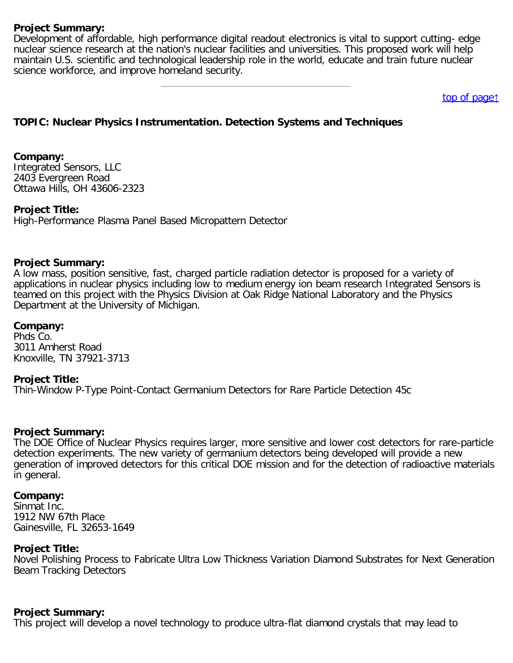Development of affordable, high performance digital readout electronics is vital to support cutting- edge nuclear science research at the nation's nuclear facilities and universities. This proposed work will help maintain U.S. scientific and technological leadership role in the world, educate and train future nuclear science workforce, and improve homeland security.

[top of page](#page-0-0)[↑](#page-0-0)

# <span id="page-28-0"></span>**TOPIC: Nuclear Physics Instrumentation. Detection Systems and Techniques**

### **Company:**

Integrated Sensors, LLC 2403 Evergreen Road Ottawa Hills, OH 43606-2323

### **Project Title:**

High-Performance Plasma Panel Based Micropattern Detector

#### **Project Summary:**

A low mass, position sensitive, fast, charged particle radiation detector is proposed for a variety of applications in nuclear physics including low to medium energy ion beam research Integrated Sensors is teamed on this project with the Physics Division at Oak Ridge National Laboratory and the Physics Department at the University of Michigan.

### **Company:**

Phds Co. 3011 Amherst Road Knoxville, TN 37921-3713

#### **Project Title:**

Thin-Window P-Type Point-Contact Germanium Detectors for Rare Particle Detection 45c

#### **Project Summary:**

The DOE Office of Nuclear Physics requires larger, more sensitive and lower cost detectors for rare-particle detection experiments. The new variety of germanium detectors being developed will provide a new generation of improved detectors for this critical DOE mission and for the detection of radioactive materials in general.

#### **Company:**

Sinmat Inc. 1912 NW 67th Place Gainesville, FL 32653-1649

# **Project Title:**

Novel Polishing Process to Fabricate Ultra Low Thickness Variation Diamond Substrates for Next Generation Beam Tracking Detectors

#### **Project Summary:**

This project will develop a novel technology to produce ultra-flat diamond crystals that may lead to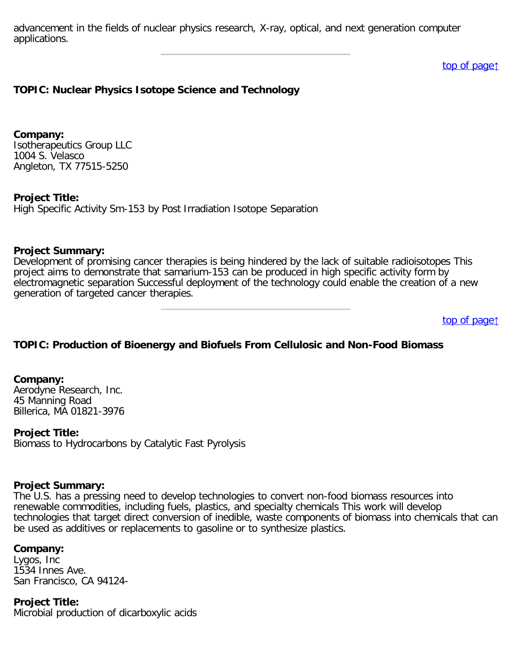advancement in the fields of nuclear physics research, X-ray, optical, and next generation computer applications.

[top of page](#page-0-0)[↑](#page-0-0)

### <span id="page-29-0"></span>**TOPIC: Nuclear Physics Isotope Science and Technology**

**Company:** Isotherapeutics Group LLC 1004 S. Velasco Angleton, TX 77515-5250

**Project Title:**

High Specific Activity Sm-153 by Post Irradiation Isotope Separation

### **Project Summary:**

Development of promising cancer therapies is being hindered by the lack of suitable radioisotopes This project aims to demonstrate that samarium-153 can be produced in high specific activity form by electromagnetic separation Successful deployment of the technology could enable the creation of a new generation of targeted cancer therapies.

[top of page](#page-0-0)[↑](#page-0-0)

### <span id="page-29-1"></span>**TOPIC: Production of Bioenergy and Biofuels From Cellulosic and Non-Food Biomass**

**Company:**

Aerodyne Research, Inc. 45 Manning Road Billerica, MA 01821-3976

**Project Title:**

Biomass to Hydrocarbons by Catalytic Fast Pyrolysis

#### **Project Summary:**

The U.S. has a pressing need to develop technologies to convert non-food biomass resources into renewable commodities, including fuels, plastics, and specialty chemicals This work will develop technologies that target direct conversion of inedible, waste components of biomass into chemicals that can be used as additives or replacements to gasoline or to synthesize plastics.

### **Company:**

Lygos, Inc 1534 Innes Ave. San Francisco, CA 94124-

**Project Title:** Microbial production of dicarboxylic acids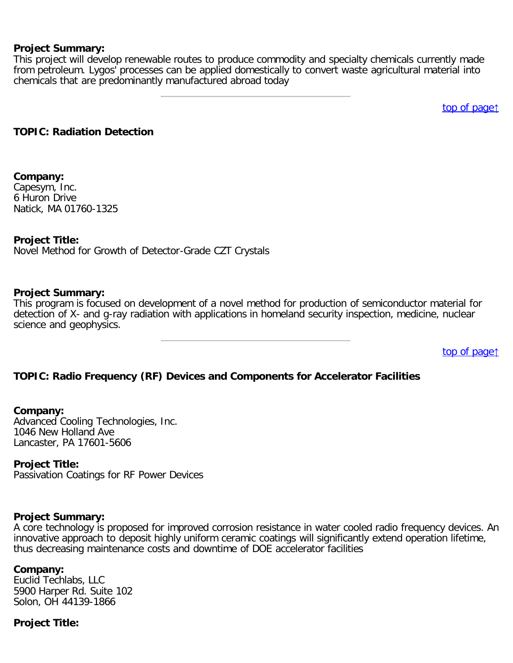This project will develop renewable routes to produce commodity and specialty chemicals currently made from petroleum. Lygos' processes can be applied domestically to convert waste agricultural material into chemicals that are predominantly manufactured abroad today

[top of page](#page-0-0)[↑](#page-0-0)

#### <span id="page-30-0"></span>**TOPIC: Radiation Detection**

#### **Company:**

Capesym, Inc. 6 Huron Drive Natick, MA 01760-1325

### **Project Title:**

Novel Method for Growth of Detector-Grade CZT Crystals

#### **Project Summary:**

This program is focused on development of a novel method for production of semiconductor material for detection of X- and g-ray radiation with applications in homeland security inspection, medicine, nuclear science and geophysics.

[top of page](#page-0-0)[↑](#page-0-0)

### <span id="page-30-1"></span>**TOPIC: Radio Frequency (RF) Devices and Components for Accelerator Facilities**

#### **Company:**

Advanced Cooling Technologies, Inc. 1046 New Holland Ave Lancaster, PA 17601-5606

#### **Project Title:**

Passivation Coatings for RF Power Devices

# **Project Summary:**

A core technology is proposed for improved corrosion resistance in water cooled radio frequency devices. An innovative approach to deposit highly uniform ceramic coatings will significantly extend operation lifetime, thus decreasing maintenance costs and downtime of DOE accelerator facilities

#### **Company:**

Euclid Techlabs, LLC 5900 Harper Rd. Suite 102 Solon, OH 44139-1866

### **Project Title:**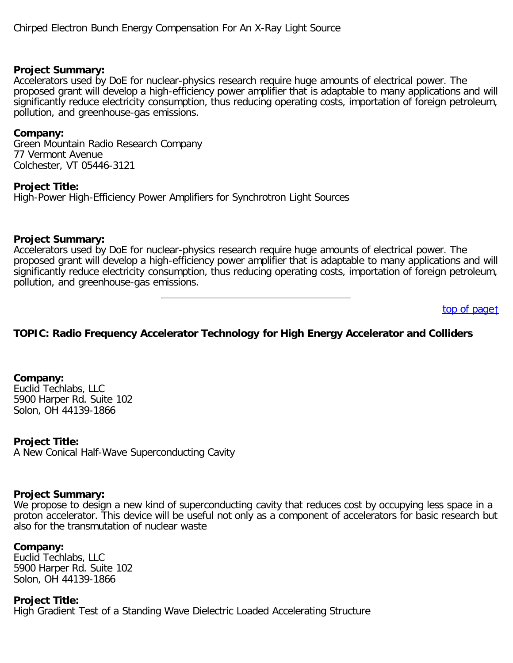Accelerators used by DoE for nuclear-physics research require huge amounts of electrical power. The proposed grant will develop a high-efficiency power amplifier that is adaptable to many applications and will significantly reduce electricity consumption, thus reducing operating costs, importation of foreign petroleum, pollution, and greenhouse-gas emissions.

### **Company:**

Green Mountain Radio Research Company 77 Vermont Avenue Colchester, VT 05446-3121

**Project Title:**

High-Power High-Efficiency Power Amplifiers for Synchrotron Light Sources

### **Project Summary:**

Accelerators used by DoE for nuclear-physics research require huge amounts of electrical power. The proposed grant will develop a high-efficiency power amplifier that is adaptable to many applications and will significantly reduce electricity consumption, thus reducing operating costs, importation of foreign petroleum, pollution, and greenhouse-gas emissions.

[top of page](#page-0-0)[↑](#page-0-0)

# <span id="page-31-0"></span>**TOPIC: Radio Frequency Accelerator Technology for High Energy Accelerator and Colliders**

**Company:** Euclid Techlabs, LLC 5900 Harper Rd. Suite 102 Solon, OH 44139-1866

### **Project Title:**

A New Conical Half-Wave Superconducting Cavity

### **Project Summary:**

We propose to design a new kind of superconducting cavity that reduces cost by occupying less space in a proton accelerator. This device will be useful not only as a component of accelerators for basic research but also for the transmutation of nuclear waste

### **Company:**

Euclid Techlabs, LLC 5900 Harper Rd. Suite 102 Solon, OH 44139-1866

**Project Title:** High Gradient Test of a Standing Wave Dielectric Loaded Accelerating Structure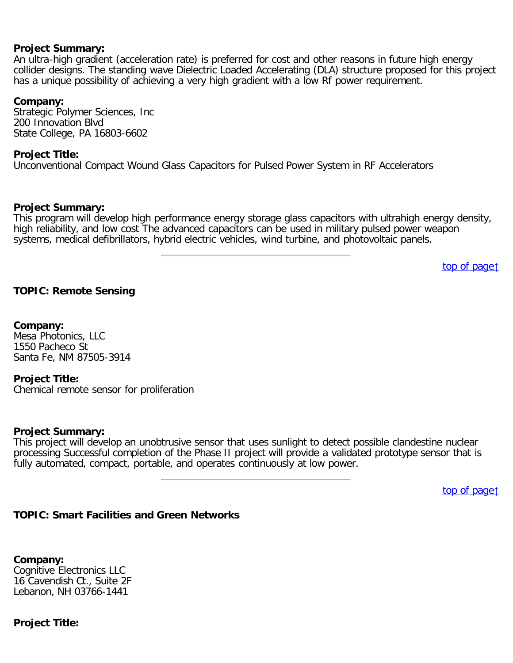An ultra-high gradient (acceleration rate) is preferred for cost and other reasons in future high energy collider designs. The standing wave Dielectric Loaded Accelerating (DLA) structure proposed for this project has a unique possibility of achieving a very high gradient with a low Rf power requirement.

#### **Company:**

Strategic Polymer Sciences, Inc 200 Innovation Blvd State College, PA 16803-6602

### **Project Title:**

Unconventional Compact Wound Glass Capacitors for Pulsed Power System in RF Accelerators

#### **Project Summary:**

This program will develop high performance energy storage glass capacitors with ultrahigh energy density, high reliability, and low cost The advanced capacitors can be used in military pulsed power weapon systems, medical defibrillators, hybrid electric vehicles, wind turbine, and photovoltaic panels.

[top of page](#page-0-0)[↑](#page-0-0)

### <span id="page-32-0"></span>**TOPIC: Remote Sensing**

#### **Company:**

Mesa Photonics, LLC 1550 Pacheco St Santa Fe, NM 87505-3914

#### **Project Title:**

Chemical remote sensor for proliferation

#### **Project Summary:**

This project will develop an unobtrusive sensor that uses sunlight to detect possible clandestine nuclear processing Successful completion of the Phase II project will provide a validated prototype sensor that is fully automated, compact, portable, and operates continuously at low power.

[top of page](#page-0-0)[↑](#page-0-0)

### <span id="page-32-1"></span>**TOPIC: Smart Facilities and Green Networks**

**Company:** Cognitive Electronics LLC 16 Cavendish Ct., Suite 2F Lebanon, NH 03766-1441

#### **Project Title:**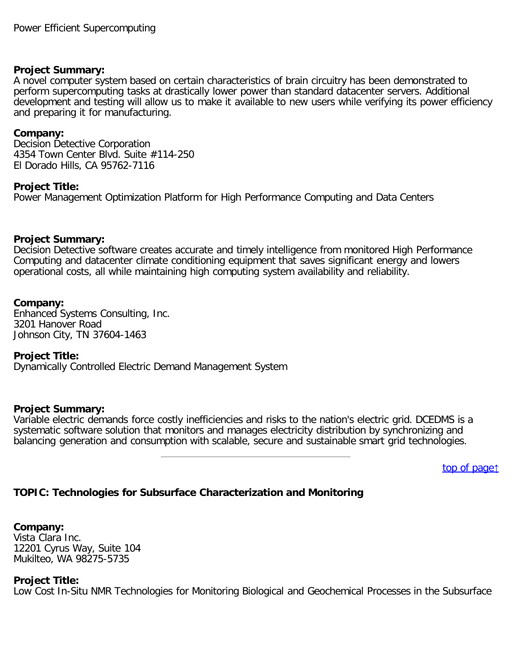A novel computer system based on certain characteristics of brain circuitry has been demonstrated to perform supercomputing tasks at drastically lower power than standard datacenter servers. Additional development and testing will allow us to make it available to new users while verifying its power efficiency and preparing it for manufacturing.

### **Company:**

Decision Detective Corporation 4354 Town Center Blvd. Suite #114-250 El Dorado Hills, CA 95762-7116

### **Project Title:**

Power Management Optimization Platform for High Performance Computing and Data Centers

### **Project Summary:**

Decision Detective software creates accurate and timely intelligence from monitored High Performance Computing and datacenter climate conditioning equipment that saves significant energy and lowers operational costs, all while maintaining high computing system availability and reliability.

### **Company:**

Enhanced Systems Consulting, Inc. 3201 Hanover Road Johnson City, TN 37604-1463

### **Project Title:**

Dynamically Controlled Electric Demand Management System

### **Project Summary:**

Variable electric demands force costly inefficiencies and risks to the nation's electric grid. DCEDMS is a systematic software solution that monitors and manages electricity distribution by synchronizing and balancing generation and consumption with scalable, secure and sustainable smart grid technologies.

[top of page](#page-0-0)[↑](#page-0-0)

# <span id="page-33-0"></span>**TOPIC: Technologies for Subsurface Characterization and Monitoring**

**Company:** Vista Clara Inc. 12201 Cyrus Way, Suite 104 Mukilteo, WA 98275-5735

#### **Project Title:**

Low Cost In-Situ NMR Technologies for Monitoring Biological and Geochemical Processes in the Subsurface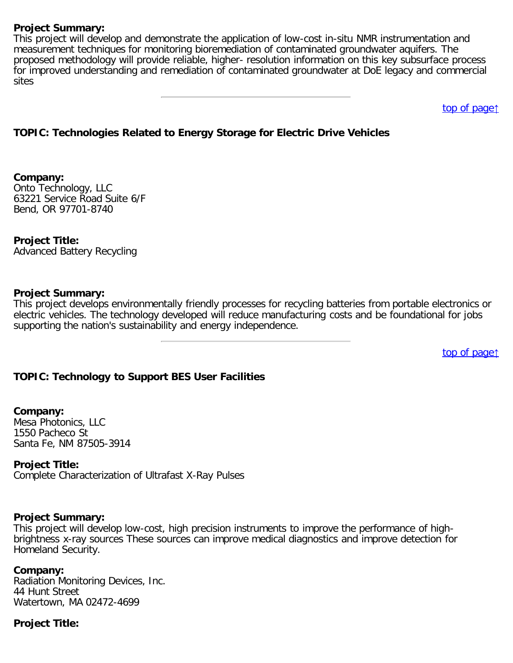This project will develop and demonstrate the application of low-cost in-situ NMR instrumentation and measurement techniques for monitoring bioremediation of contaminated groundwater aquifers. The proposed methodology will provide reliable, higher- resolution information on this key subsurface process for improved understanding and remediation of contaminated groundwater at DoE legacy and commercial sites

[top of page](#page-0-0)[↑](#page-0-0)

# <span id="page-34-0"></span>**TOPIC: Technologies Related to Energy Storage for Electric Drive Vehicles**

**Company:** Onto Technology, LLC 63221 Service Road Suite 6/F Bend, OR 97701-8740

**Project Title:** Advanced Battery Recycling

#### **Project Summary:**

This project develops environmentally friendly processes for recycling batteries from portable electronics or electric vehicles. The technology developed will reduce manufacturing costs and be foundational for jobs supporting the nation's sustainability and energy independence.

[top of page](#page-0-0)[↑](#page-0-0)

### <span id="page-34-1"></span>**TOPIC: Technology to Support BES User Facilities**

#### **Company:**

Mesa Photonics, LLC 1550 Pacheco St Santa Fe, NM 87505-3914

#### **Project Title:**

Complete Characterization of Ultrafast X-Ray Pulses

#### **Project Summary:**

This project will develop low-cost, high precision instruments to improve the performance of highbrightness x-ray sources These sources can improve medical diagnostics and improve detection for Homeland Security.

#### **Company:**

Radiation Monitoring Devices, Inc. 44 Hunt Street Watertown, MA 02472-4699

### **Project Title:**